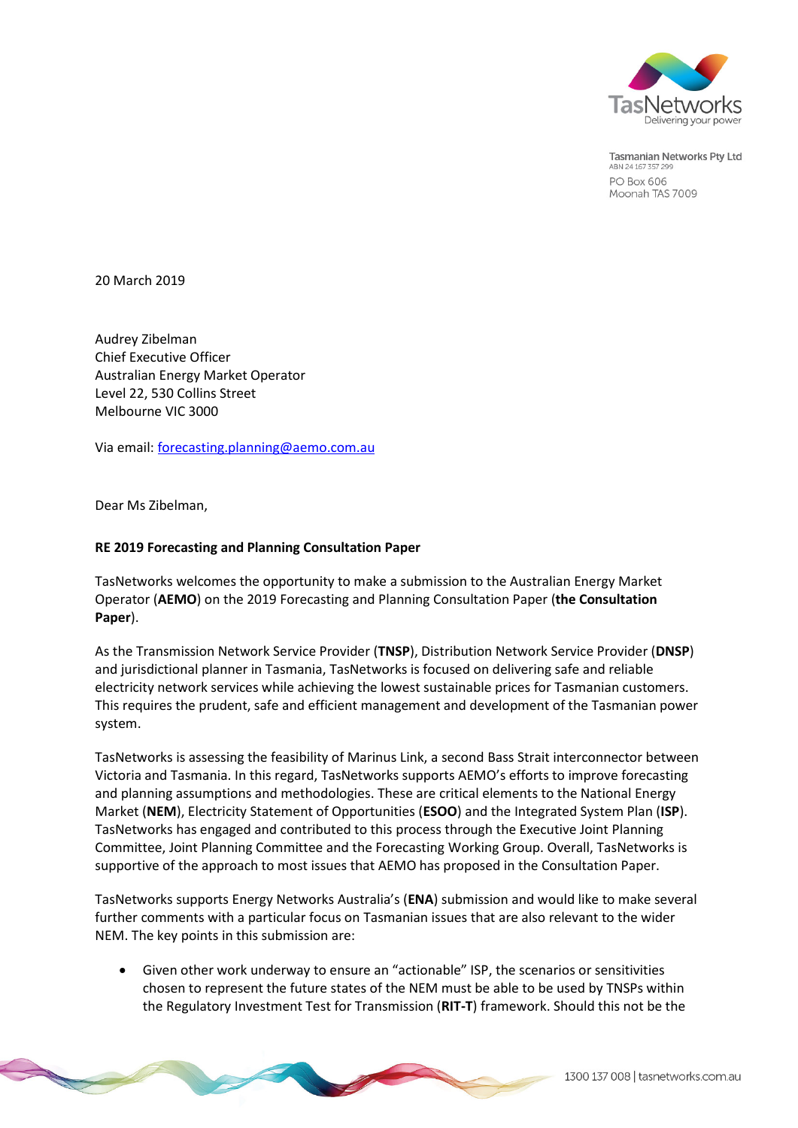

**Tasmanian Networks Pty Ltd** ABN 24 167 357 299 PO Box 606 Moonah TAS 7009

20 March 2019

Audrey Zibelman Chief Executive Officer Australian Energy Market Operator Level 22, 530 Collins Street Melbourne VIC 3000

Via email[: forecasting.planning@aemo.com.au](mailto:forecasting.planning@aemo.com.au)

Dear Ms Zibelman,

#### **RE 2019 Forecasting and Planning Consultation Paper**

TasNetworks welcomes the opportunity to make a submission to the Australian Energy Market Operator (**AEMO**) on the 2019 Forecasting and Planning Consultation Paper (**the Consultation Paper**).

As the Transmission Network Service Provider (**TNSP**), Distribution Network Service Provider (**DNSP**) and jurisdictional planner in Tasmania, TasNetworks is focused on delivering safe and reliable electricity network services while achieving the lowest sustainable prices for Tasmanian customers. This requires the prudent, safe and efficient management and development of the Tasmanian power system.

TasNetworks is assessing the feasibility of Marinus Link, a second Bass Strait interconnector between Victoria and Tasmania. In this regard, TasNetworks supports AEMO's efforts to improve forecasting and planning assumptions and methodologies. These are critical elements to the National Energy Market (**NEM**), Electricity Statement of Opportunities (**ESOO**) and the Integrated System Plan (**ISP**). TasNetworks has engaged and contributed to this process through the Executive Joint Planning Committee, Joint Planning Committee and the Forecasting Working Group. Overall, TasNetworks is supportive of the approach to most issues that AEMO has proposed in the Consultation Paper.

TasNetworks supports Energy Networks Australia's (**ENA**) submission and would like to make several further comments with a particular focus on Tasmanian issues that are also relevant to the wider NEM. The key points in this submission are:

 Given other work underway to ensure an "actionable" ISP, the scenarios or sensitivities chosen to represent the future states of the NEM must be able to be used by TNSPs within the Regulatory Investment Test for Transmission (**RIT-T**) framework. Should this not be the

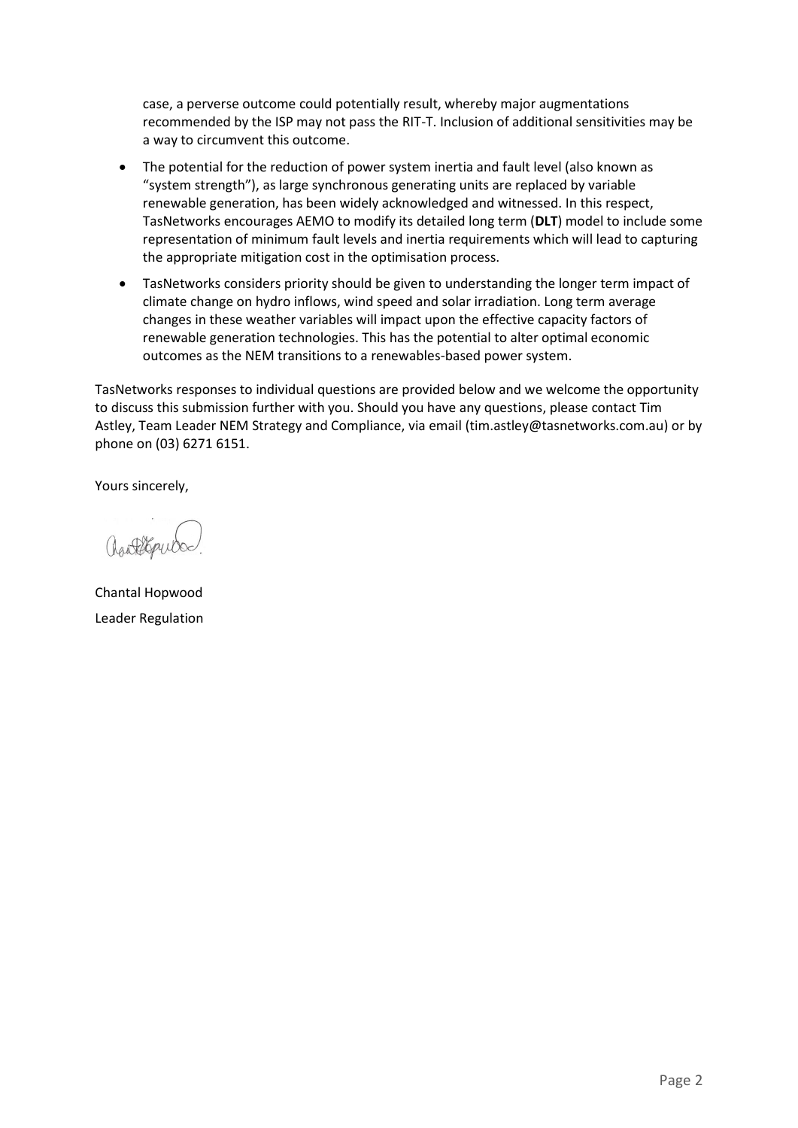case, a perverse outcome could potentially result, whereby major augmentations recommended by the ISP may not pass the RIT-T. Inclusion of additional sensitivities may be a way to circumvent this outcome.

- The potential for the reduction of power system inertia and fault level (also known as "system strength"), as large synchronous generating units are replaced by variable renewable generation, has been widely acknowledged and witnessed. In this respect, TasNetworks encourages AEMO to modify its detailed long term (**DLT**) model to include some representation of minimum fault levels and inertia requirements which will lead to capturing the appropriate mitigation cost in the optimisation process.
- TasNetworks considers priority should be given to understanding the longer term impact of climate change on hydro inflows, wind speed and solar irradiation. Long term average changes in these weather variables will impact upon the effective capacity factors of renewable generation technologies. This has the potential to alter optimal economic outcomes as the NEM transitions to a renewables-based power system.

TasNetworks responses to individual questions are provided below and we welcome the opportunity to discuss this submission further with you. Should you have any questions, please contact Tim Astley, Team Leader NEM Strategy and Compliance, via email [\(tim.astley@tasnetworks.com.au\)](mailto:tim.astley@tasnetworks.com.au) or by phone on (03) 6271 6151.

Yours sincerely,

Chantal Hopwood Leader Regulation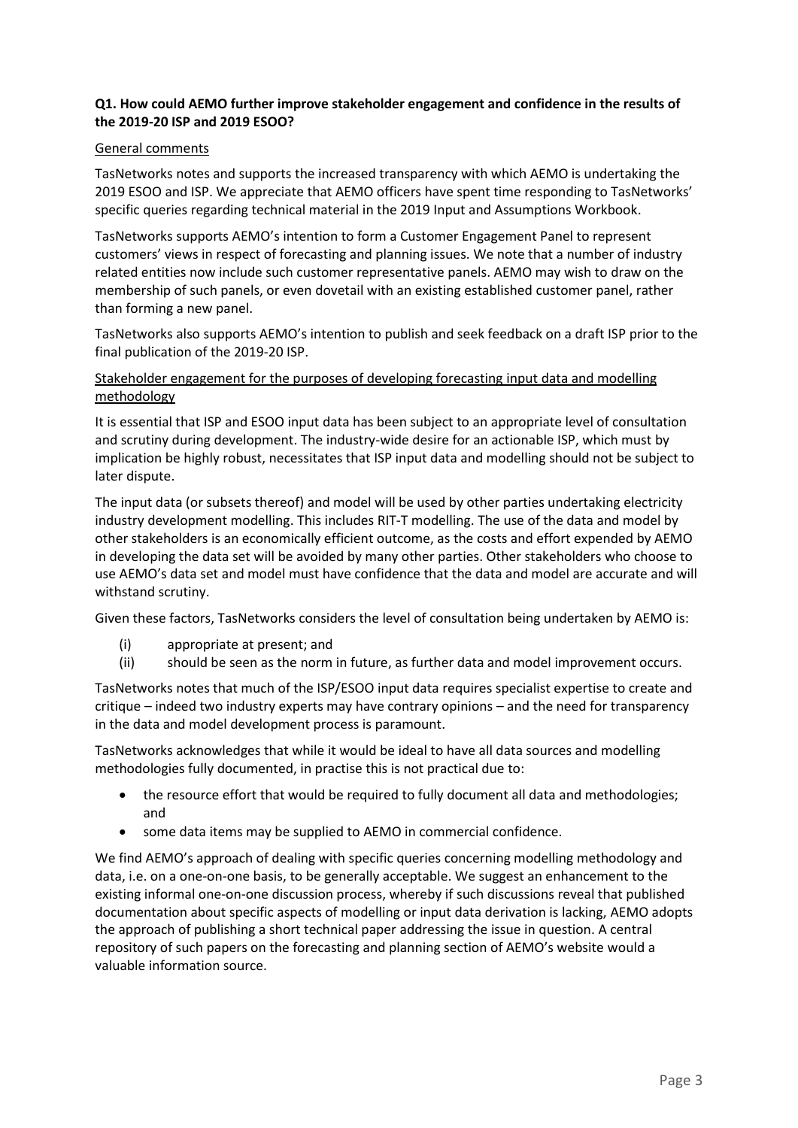### **Q1. How could AEMO further improve stakeholder engagement and confidence in the results of the 2019-20 ISP and 2019 ESOO?**

### General comments

TasNetworks notes and supports the increased transparency with which AEMO is undertaking the 2019 ESOO and ISP. We appreciate that AEMO officers have spent time responding to TasNetworks' specific queries regarding technical material in the 2019 Input and Assumptions Workbook.

TasNetworks supports AEMO's intention to form a Customer Engagement Panel to represent customers' views in respect of forecasting and planning issues. We note that a number of industry related entities now include such customer representative panels. AEMO may wish to draw on the membership of such panels, or even dovetail with an existing established customer panel, rather than forming a new panel.

TasNetworks also supports AEMO's intention to publish and seek feedback on a draft ISP prior to the final publication of the 2019-20 ISP.

## Stakeholder engagement for the purposes of developing forecasting input data and modelling methodology

It is essential that ISP and ESOO input data has been subject to an appropriate level of consultation and scrutiny during development. The industry-wide desire for an actionable ISP, which must by implication be highly robust, necessitates that ISP input data and modelling should not be subject to later dispute.

The input data (or subsets thereof) and model will be used by other parties undertaking electricity industry development modelling. This includes RIT-T modelling. The use of the data and model by other stakeholders is an economically efficient outcome, as the costs and effort expended by AEMO in developing the data set will be avoided by many other parties. Other stakeholders who choose to use AEMO's data set and model must have confidence that the data and model are accurate and will withstand scrutiny.

Given these factors, TasNetworks considers the level of consultation being undertaken by AEMO is:

- (i) appropriate at present; and
- (ii) should be seen as the norm in future, as further data and model improvement occurs.

TasNetworks notes that much of the ISP/ESOO input data requires specialist expertise to create and critique – indeed two industry experts may have contrary opinions – and the need for transparency in the data and model development process is paramount.

TasNetworks acknowledges that while it would be ideal to have all data sources and modelling methodologies fully documented, in practise this is not practical due to:

- the resource effort that would be required to fully document all data and methodologies; and
- some data items may be supplied to AEMO in commercial confidence.

We find AEMO's approach of dealing with specific queries concerning modelling methodology and data, i.e. on a one-on-one basis, to be generally acceptable. We suggest an enhancement to the existing informal one-on-one discussion process, whereby if such discussions reveal that published documentation about specific aspects of modelling or input data derivation is lacking, AEMO adopts the approach of publishing a short technical paper addressing the issue in question. A central repository of such papers on the forecasting and planning section of AEMO's website would a valuable information source.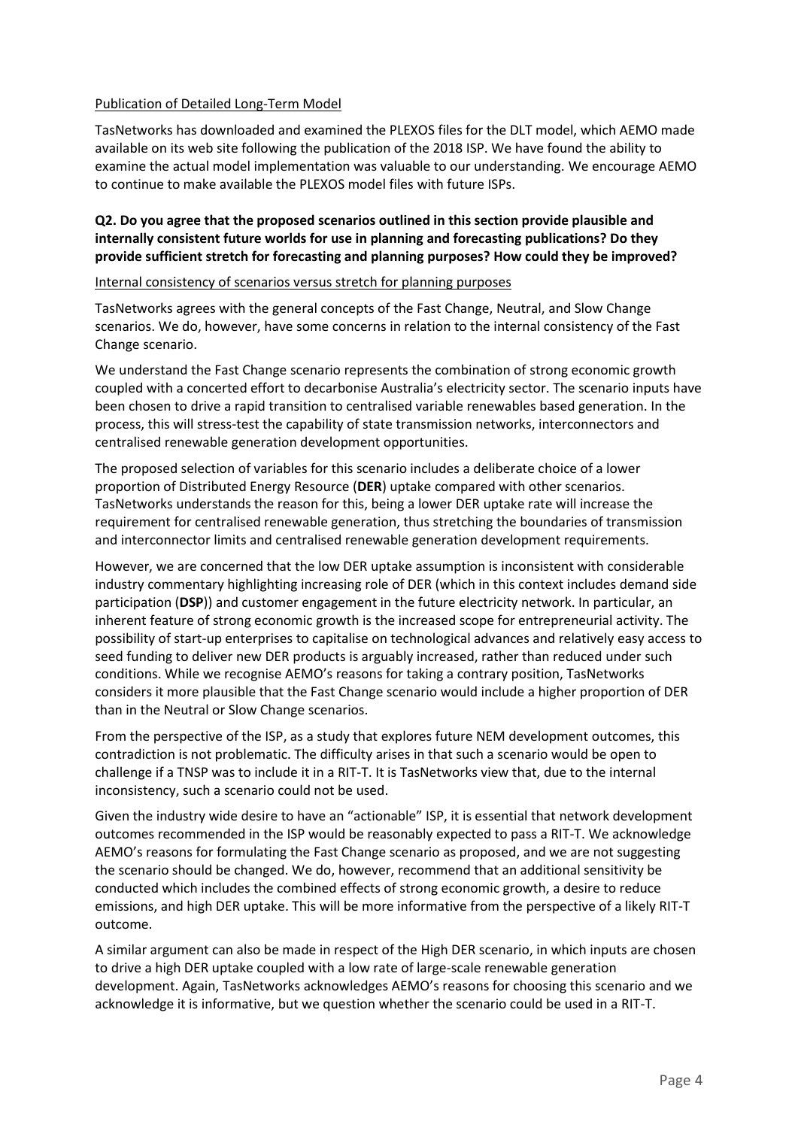### Publication of Detailed Long-Term Model

TasNetworks has downloaded and examined the PLEXOS files for the DLT model, which AEMO made available on its web site following the publication of the 2018 ISP. We have found the ability to examine the actual model implementation was valuable to our understanding. We encourage AEMO to continue to make available the PLEXOS model files with future ISPs.

**Q2. Do you agree that the proposed scenarios outlined in this section provide plausible and internally consistent future worlds for use in planning and forecasting publications? Do they provide sufficient stretch for forecasting and planning purposes? How could they be improved?**

Internal consistency of scenarios versus stretch for planning purposes

TasNetworks agrees with the general concepts of the Fast Change, Neutral, and Slow Change scenarios. We do, however, have some concerns in relation to the internal consistency of the Fast Change scenario.

We understand the Fast Change scenario represents the combination of strong economic growth coupled with a concerted effort to decarbonise Australia's electricity sector. The scenario inputs have been chosen to drive a rapid transition to centralised variable renewables based generation. In the process, this will stress-test the capability of state transmission networks, interconnectors and centralised renewable generation development opportunities.

The proposed selection of variables for this scenario includes a deliberate choice of a lower proportion of Distributed Energy Resource (**DER**) uptake compared with other scenarios. TasNetworks understands the reason for this, being a lower DER uptake rate will increase the requirement for centralised renewable generation, thus stretching the boundaries of transmission and interconnector limits and centralised renewable generation development requirements.

However, we are concerned that the low DER uptake assumption is inconsistent with considerable industry commentary highlighting increasing role of DER (which in this context includes demand side participation (**DSP**)) and customer engagement in the future electricity network. In particular, an inherent feature of strong economic growth is the increased scope for entrepreneurial activity. The possibility of start-up enterprises to capitalise on technological advances and relatively easy access to seed funding to deliver new DER products is arguably increased, rather than reduced under such conditions. While we recognise AEMO's reasons for taking a contrary position, TasNetworks considers it more plausible that the Fast Change scenario would include a higher proportion of DER than in the Neutral or Slow Change scenarios.

From the perspective of the ISP, as a study that explores future NEM development outcomes, this contradiction is not problematic. The difficulty arises in that such a scenario would be open to challenge if a TNSP was to include it in a RIT-T. It is TasNetworks view that, due to the internal inconsistency, such a scenario could not be used.

Given the industry wide desire to have an "actionable" ISP, it is essential that network development outcomes recommended in the ISP would be reasonably expected to pass a RIT-T. We acknowledge AEMO's reasons for formulating the Fast Change scenario as proposed, and we are not suggesting the scenario should be changed. We do, however, recommend that an additional sensitivity be conducted which includes the combined effects of strong economic growth, a desire to reduce emissions, and high DER uptake. This will be more informative from the perspective of a likely RIT-T outcome.

A similar argument can also be made in respect of the High DER scenario, in which inputs are chosen to drive a high DER uptake coupled with a low rate of large-scale renewable generation development. Again, TasNetworks acknowledges AEMO's reasons for choosing this scenario and we acknowledge it is informative, but we question whether the scenario could be used in a RIT-T.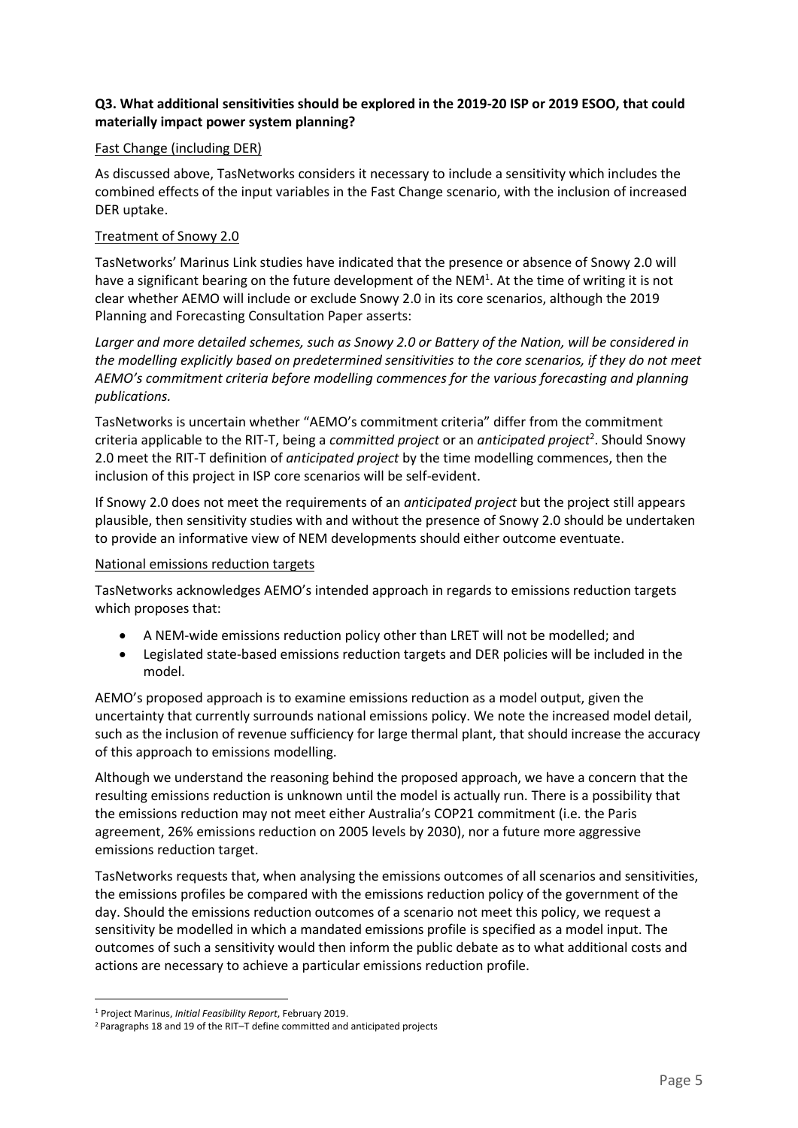## **Q3. What additional sensitivities should be explored in the 2019-20 ISP or 2019 ESOO, that could materially impact power system planning?**

### Fast Change (including DER)

As discussed above, TasNetworks considers it necessary to include a sensitivity which includes the combined effects of the input variables in the Fast Change scenario, with the inclusion of increased DER uptake.

### Treatment of Snowy 2.0

TasNetworks' Marinus Link studies have indicated that the presence or absence of Snowy 2.0 will have a significant bearing on the future development of the NEM<sup>1</sup>. At the time of writing it is not clear whether AEMO will include or exclude Snowy 2.0 in its core scenarios, although the 2019 Planning and Forecasting Consultation Paper asserts:

*Larger and more detailed schemes, such as Snowy 2.0 or Battery of the Nation, will be considered in the modelling explicitly based on predetermined sensitivities to the core scenarios, if they do not meet AEMO's commitment criteria before modelling commences for the various forecasting and planning publications.*

TasNetworks is uncertain whether "AEMO's commitment criteria" differ from the commitment criteria applicable to the RIT-T, being a *committed project* or an *anticipated project<sup>2</sup>.* Should Snowy 2.0 meet the RIT-T definition of *anticipated project* by the time modelling commences, then the inclusion of this project in ISP core scenarios will be self-evident.

If Snowy 2.0 does not meet the requirements of an *anticipated project* but the project still appears plausible, then sensitivity studies with and without the presence of Snowy 2.0 should be undertaken to provide an informative view of NEM developments should either outcome eventuate.

#### National emissions reduction targets

TasNetworks acknowledges AEMO's intended approach in regards to emissions reduction targets which proposes that:

- A NEM-wide emissions reduction policy other than LRET will not be modelled; and
- Legislated state-based emissions reduction targets and DER policies will be included in the model.

AEMO's proposed approach is to examine emissions reduction as a model output, given the uncertainty that currently surrounds national emissions policy. We note the increased model detail, such as the inclusion of revenue sufficiency for large thermal plant, that should increase the accuracy of this approach to emissions modelling.

Although we understand the reasoning behind the proposed approach, we have a concern that the resulting emissions reduction is unknown until the model is actually run. There is a possibility that the emissions reduction may not meet either Australia's COP21 commitment (i.e. the Paris agreement, 26% emissions reduction on 2005 levels by 2030), nor a future more aggressive emissions reduction target.

TasNetworks requests that, when analysing the emissions outcomes of all scenarios and sensitivities, the emissions profiles be compared with the emissions reduction policy of the government of the day. Should the emissions reduction outcomes of a scenario not meet this policy, we request a sensitivity be modelled in which a mandated emissions profile is specified as a model input. The outcomes of such a sensitivity would then inform the public debate as to what additional costs and actions are necessary to achieve a particular emissions reduction profile.

 $\overline{a}$ 

<sup>1</sup> Project Marinus, *Initial Feasibility Report*, February 2019.

<sup>2</sup> Paragraphs 18 and 19 of the RIT–T define committed and anticipated projects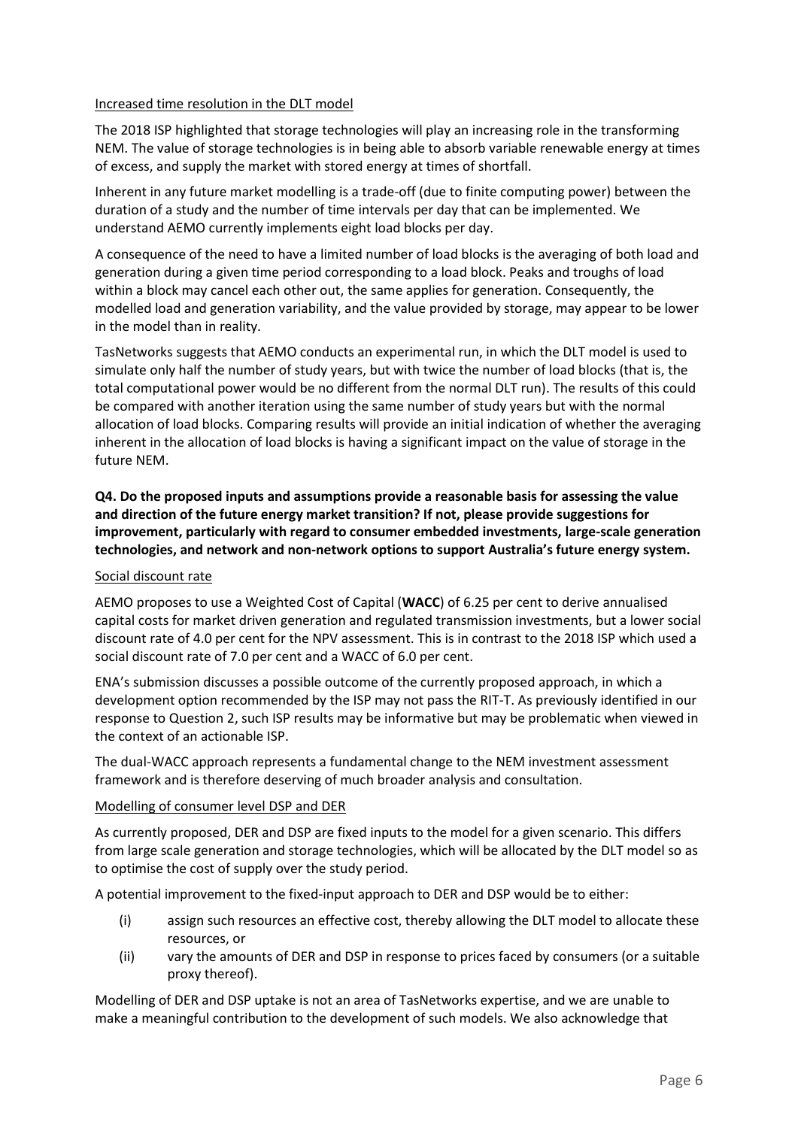### Increased time resolution in the DLT model

The 2018 ISP highlighted that storage technologies will play an increasing role in the transforming NEM. The value of storage technologies is in being able to absorb variable renewable energy at times of excess, and supply the market with stored energy at times of shortfall.

Inherent in any future market modelling is a trade-off (due to finite computing power) between the duration of a study and the number of time intervals per day that can be implemented. We understand AEMO currently implements eight load blocks per day.

A consequence of the need to have a limited number of load blocks is the averaging of both load and generation during a given time period corresponding to a load block. Peaks and troughs of load within a block may cancel each other out, the same applies for generation. Consequently, the modelled load and generation variability, and the value provided by storage, may appear to be lower in the model than in reality.

TasNetworks suggests that AEMO conducts an experimental run, in which the DLT model is used to simulate only half the number of study years, but with twice the number of load blocks (that is, the total computational power would be no different from the normal DLT run). The results of this could be compared with another iteration using the same number of study years but with the normal allocation of load blocks. Comparing results will provide an initial indication of whether the averaging inherent in the allocation of load blocks is having a significant impact on the value of storage in the future NEM.

**Q4. Do the proposed inputs and assumptions provide a reasonable basis for assessing the value and direction of the future energy market transition? If not, please provide suggestions for improvement, particularly with regard to consumer embedded investments, large-scale generation technologies, and network and non-network options to support Australia's future energy system.** 

# Social discount rate

AEMO proposes to use a Weighted Cost of Capital (**WACC**) of 6.25 per cent to derive annualised capital costs for market driven generation and regulated transmission investments, but a lower social discount rate of 4.0 per cent for the NPV assessment. This is in contrast to the 2018 ISP which used a social discount rate of 7.0 per cent and a WACC of 6.0 per cent.

ENA's submission discusses a possible outcome of the currently proposed approach, in which a development option recommended by the ISP may not pass the RIT-T. As previously identified in our response to Question 2, such ISP results may be informative but may be problematic when viewed in the context of an actionable ISP.

The dual-WACC approach represents a fundamental change to the NEM investment assessment framework and is therefore deserving of much broader analysis and consultation.

# Modelling of consumer level DSP and DER

As currently proposed, DER and DSP are fixed inputs to the model for a given scenario. This differs from large scale generation and storage technologies, which will be allocated by the DLT model so as to optimise the cost of supply over the study period.

A potential improvement to the fixed-input approach to DER and DSP would be to either:

- (i) assign such resources an effective cost, thereby allowing the DLT model to allocate these resources, or
- (ii) vary the amounts of DER and DSP in response to prices faced by consumers (or a suitable proxy thereof).

Modelling of DER and DSP uptake is not an area of TasNetworks expertise, and we are unable to make a meaningful contribution to the development of such models. We also acknowledge that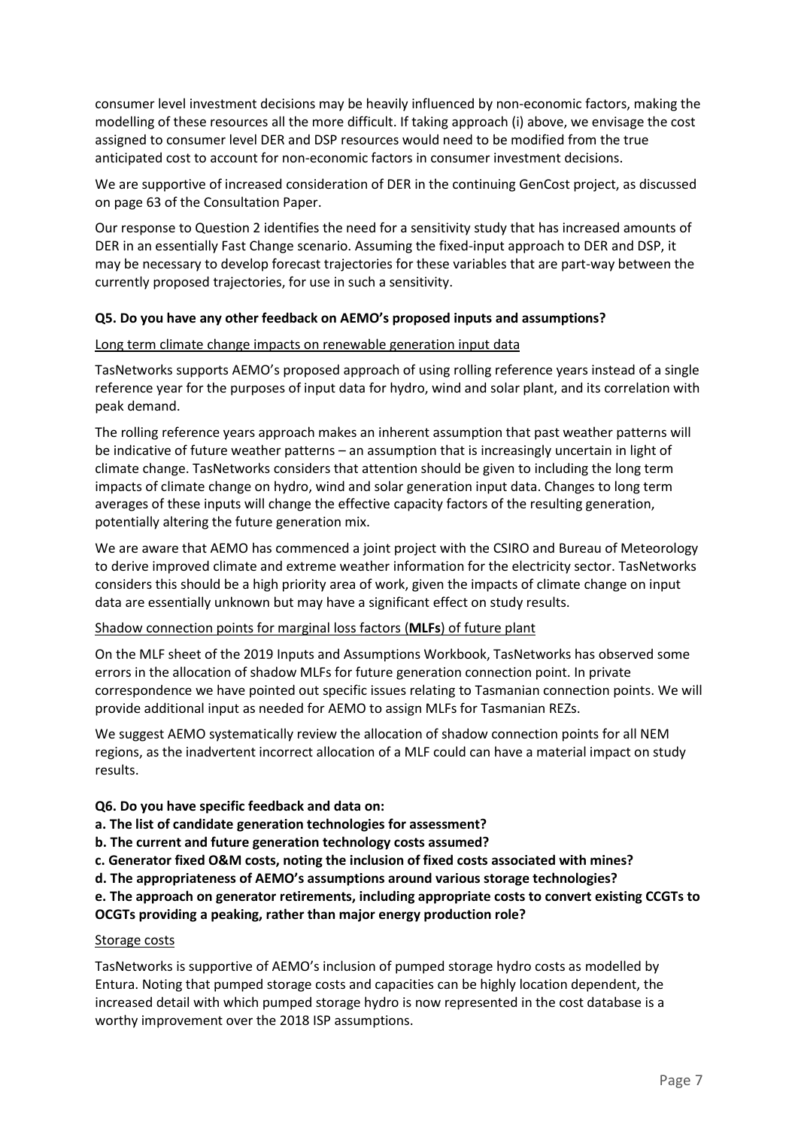consumer level investment decisions may be heavily influenced by non-economic factors, making the modelling of these resources all the more difficult. If taking approach (i) above, we envisage the cost assigned to consumer level DER and DSP resources would need to be modified from the true anticipated cost to account for non-economic factors in consumer investment decisions.

We are supportive of increased consideration of DER in the continuing GenCost project, as discussed on page 63 of the Consultation Paper.

Our response to Question 2 identifies the need for a sensitivity study that has increased amounts of DER in an essentially Fast Change scenario. Assuming the fixed-input approach to DER and DSP, it may be necessary to develop forecast trajectories for these variables that are part-way between the currently proposed trajectories, for use in such a sensitivity.

## **Q5. Do you have any other feedback on AEMO's proposed inputs and assumptions?**

#### Long term climate change impacts on renewable generation input data

TasNetworks supports AEMO's proposed approach of using rolling reference years instead of a single reference year for the purposes of input data for hydro, wind and solar plant, and its correlation with peak demand.

The rolling reference years approach makes an inherent assumption that past weather patterns will be indicative of future weather patterns – an assumption that is increasingly uncertain in light of climate change. TasNetworks considers that attention should be given to including the long term impacts of climate change on hydro, wind and solar generation input data. Changes to long term averages of these inputs will change the effective capacity factors of the resulting generation, potentially altering the future generation mix.

We are aware that AEMO has commenced a joint project with the CSIRO and Bureau of Meteorology to derive improved climate and extreme weather information for the electricity sector. TasNetworks considers this should be a high priority area of work, given the impacts of climate change on input data are essentially unknown but may have a significant effect on study results.

#### Shadow connection points for marginal loss factors (**MLFs**) of future plant

On the MLF sheet of the 2019 Inputs and Assumptions Workbook, TasNetworks has observed some errors in the allocation of shadow MLFs for future generation connection point. In private correspondence we have pointed out specific issues relating to Tasmanian connection points. We will provide additional input as needed for AEMO to assign MLFs for Tasmanian REZs.

We suggest AEMO systematically review the allocation of shadow connection points for all NEM regions, as the inadvertent incorrect allocation of a MLF could can have a material impact on study results.

#### **Q6. Do you have specific feedback and data on:**

**a. The list of candidate generation technologies for assessment?** 

- **b. The current and future generation technology costs assumed?**
- **c. Generator fixed O&M costs, noting the inclusion of fixed costs associated with mines?**
- **d. The appropriateness of AEMO's assumptions around various storage technologies?**

# **e. The approach on generator retirements, including appropriate costs to convert existing CCGTs to OCGTs providing a peaking, rather than major energy production role?**

#### Storage costs

TasNetworks is supportive of AEMO's inclusion of pumped storage hydro costs as modelled by Entura. Noting that pumped storage costs and capacities can be highly location dependent, the increased detail with which pumped storage hydro is now represented in the cost database is a worthy improvement over the 2018 ISP assumptions.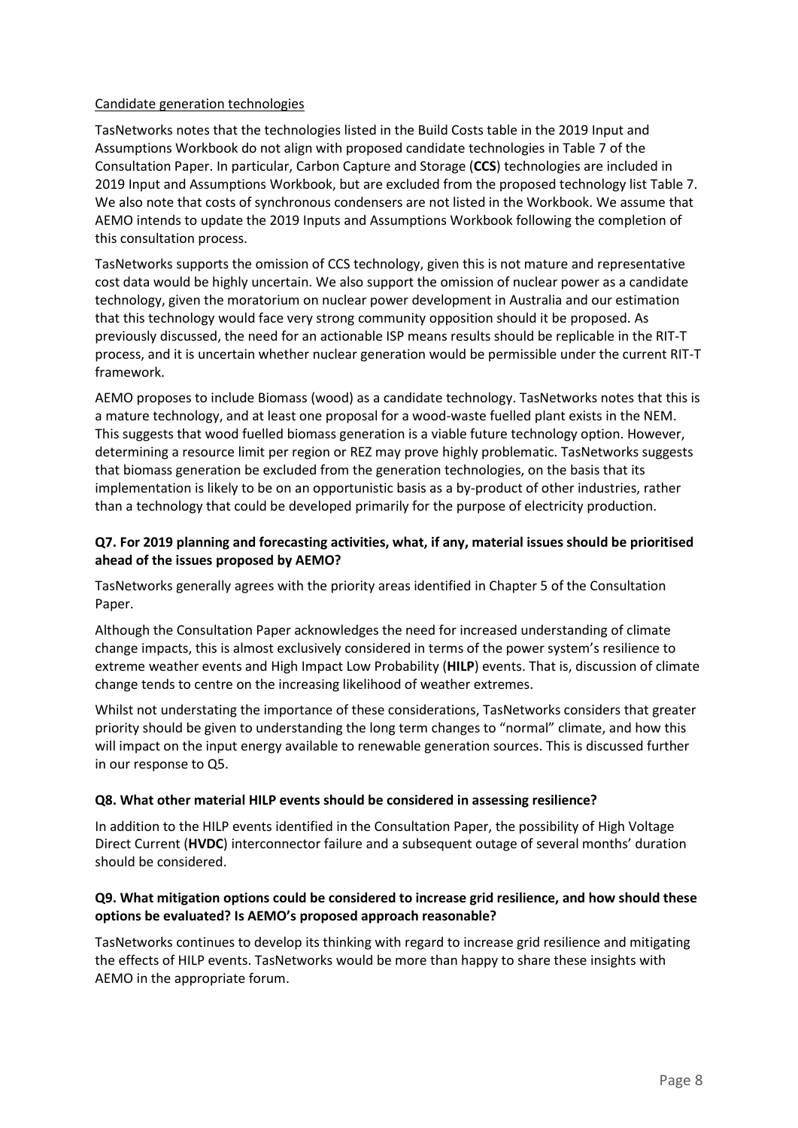## Candidate generation technologies

TasNetworks notes that the technologies listed in the Build Costs table in the 2019 Input and Assumptions Workbook do not align with proposed candidate technologies in Table 7 of the Consultation Paper. In particular, Carbon Capture and Storage (**CCS**) technologies are included in 2019 Input and Assumptions Workbook, but are excluded from the proposed technology list Table 7. We also note that costs of synchronous condensers are not listed in the Workbook. We assume that AEMO intends to update the 2019 Inputs and Assumptions Workbook following the completion of this consultation process.

TasNetworks supports the omission of CCS technology, given this is not mature and representative cost data would be highly uncertain. We also support the omission of nuclear power as a candidate technology, given the moratorium on nuclear power development in Australia and our estimation that this technology would face very strong community opposition should it be proposed. As previously discussed, the need for an actionable ISP means results should be replicable in the RIT-T process, and it is uncertain whether nuclear generation would be permissible under the current RIT-T framework.

AEMO proposes to include Biomass (wood) as a candidate technology. TasNetworks notes that this is a mature technology, and at least one proposal for a wood-waste fuelled plant exists in the NEM. This suggests that wood fuelled biomass generation is a viable future technology option. However, determining a resource limit per region or REZ may prove highly problematic. TasNetworks suggests that biomass generation be excluded from the generation technologies, on the basis that its implementation is likely to be on an opportunistic basis as a by-product of other industries, rather than a technology that could be developed primarily for the purpose of electricity production.

# **Q7. For 2019 planning and forecasting activities, what, if any, material issues should be prioritised ahead of the issues proposed by AEMO?**

TasNetworks generally agrees with the priority areas identified in Chapter 5 of the Consultation Paper.

Although the Consultation Paper acknowledges the need for increased understanding of climate change impacts, this is almost exclusively considered in terms of the power system's resilience to extreme weather events and High Impact Low Probability (**HILP**) events. That is, discussion of climate change tends to centre on the increasing likelihood of weather extremes.

Whilst not understating the importance of these considerations, TasNetworks considers that greater priority should be given to understanding the long term changes to "normal" climate, and how this will impact on the input energy available to renewable generation sources. This is discussed further in our response to Q5.

# **Q8. What other material HILP events should be considered in assessing resilience?**

In addition to the HILP events identified in the Consultation Paper, the possibility of High Voltage Direct Current (**HVDC**) interconnector failure and a subsequent outage of several months' duration should be considered.

## **Q9. What mitigation options could be considered to increase grid resilience, and how should these options be evaluated? Is AEMO's proposed approach reasonable?**

TasNetworks continues to develop its thinking with regard to increase grid resilience and mitigating the effects of HILP events. TasNetworks would be more than happy to share these insights with AEMO in the appropriate forum.